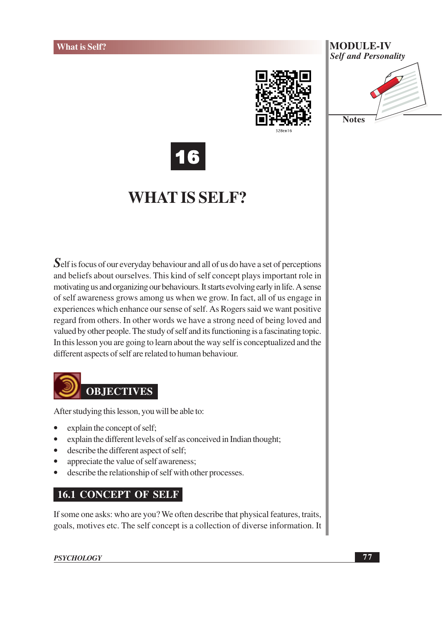



16

## **WHAT IS SELF?**

Self is focus of our everyday behaviour and all of us do have a set of perceptions and beliefs about ourselves. This kind of self concept plays important role in motivating us and organizing our behaviours. It starts evolving early in life. A sense of self awareness grows among us when we grow. In fact, all of us engage in experiences which enhance our sense of self. As Rogers said we want positive regard from others. In other words we have a strong need of being loved and valued by other people. The study of self and its functioning is a fascinating topic. In this lesson you are going to learn about the way self is conceptualized and the different aspects of self are related to human behaviour.



After studying this lesson, you will be able to:

- explain the concept of self;
- explain the different levels of self as conceived in Indian thought;  $\bullet$
- describe the different aspect of self;  $\bullet$
- appreciate the value of self awareness;
- describe the relationship of self with other processes.

### **16.1 CONCEPT OF SELF**

If some one asks: who are you? We often describe that physical features, traits, goals, motives etc. The self concept is a collection of diverse information. It

**PSYCHOLOGY**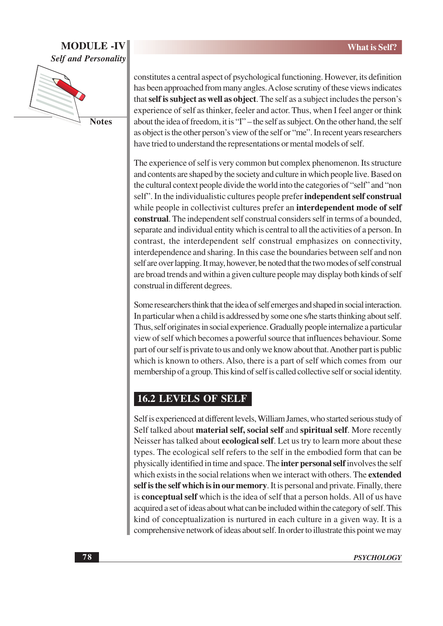### **MODULE -IV Self and Personality**



**Notes** 

constitutes a central aspect of psychological functioning. However, its definition has been approached from many angles. A close scrutiny of these views indicates that self is subject as well as object. The self as a subject includes the person's experience of self as thinker, feeler and actor. Thus, when I feel anger or think about the idea of freedom, it is "I" – the self as subject. On the other hand, the self as object is the other person's view of the self or "me". In recent years researchers have tried to understand the representations or mental models of self.

The experience of self is very common but complex phenomenon. Its structure and contents are shaped by the society and culture in which people live. Based on the cultural context people divide the world into the categories of "self" and "non self". In the individualistic cultures people prefer independent self construal while people in collectivist cultures prefer an **interdependent mode of self** construal. The independent self construal considers self in terms of a bounded, separate and individual entity which is central to all the activities of a person. In contrast, the interdependent self construal emphasizes on connectivity, interdependence and sharing. In this case the boundaries between self and non self are over lapping. It may, however, be noted that the two modes of self construal are broad trends and within a given culture people may display both kinds of self construal in different degrees.

Some researchers think that the idea of self emerges and shaped in social interaction. In particular when a child is addressed by some one s/he starts thinking about self. Thus, self originates in social experience. Gradually people internalize a particular view of self which becomes a powerful source that influences behaviour. Some part of our self is private to us and only we know about that. Another part is public which is known to others. Also, there is a part of self which comes from our membership of a group. This kind of self is called collective self or social identity.

### **16.2 LEVELS OF SELF**

Self is experienced at different levels, William James, who started serious study of Self talked about material self, social self and spiritual self. More recently Neisser has talked about **ecological self**. Let us try to learn more about these types. The ecological self refers to the self in the embodied form that can be physically identified in time and space. The **inter personal self** involves the self which exists in the social relations when we interact with others. The extended self is the self which is in our memory. It is personal and private. Finally, there is **conceptual self** which is the idea of self that a person holds. All of us have acquired a set of ideas about what can be included within the category of self. This kind of conceptualization is nurtured in each culture in a given way. It is a comprehensive network of ideas about self. In order to illustrate this point we may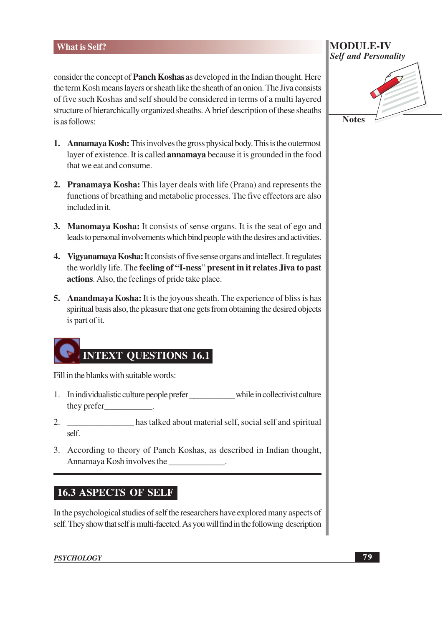consider the concept of Panch Koshas as developed in the Indian thought. Here the term Kosh means layers or sheath like the sheath of an onion. The Jiva consists of five such Koshas and self should be considered in terms of a multi layered structure of hierarchically organized sheaths. A brief description of these sheaths is as follows:

- 1. Annamaya Kosh: This involves the gross physical body. This is the outermost laver of existence. It is called **annamava** because it is grounded in the food that we eat and consume.
- 2. Pranamaya Kosha: This layer deals with life (Prana) and represents the functions of breathing and metabolic processes. The five effectors are also included in it.
- 3. Manomaya Kosha: It consists of sense organs. It is the seat of ego and leads to personal involvements which bind people with the desires and activities.
- 4. Vigyanamaya Kosha: It consists of five sense organs and intellect. It regulates the worldly life. The feeling of "I-ness" present in it relates Jiva to past actions. Also, the feelings of pride take place.
- 5. Anandmaya Kosha: It is the joyous sheath. The experience of bliss is has spiritual basis also, the pleasure that one gets from obtaining the desired objects is part of it.

# **INTEXT QUESTIONS 16.1**

Fill in the blanks with suitable words:

- 1. In individualistic culture people prefer while in collectivist culture they prefer the set of the set of the set of the set of the set of the set of the set of the set of the set of the set of the set of the set of the set of the set of the set of the set of the set of the set of the set of t
- has talked about material self, social self and spiritual 2. self.
- 3. According to theory of Panch Koshas, as described in Indian thought, Annamaya Kosh involves the

### **16.3 ASPECTS OF SELF**

In the psychological studies of self the researchers have explored many aspects of self. They show that self is multi-faceted. As you will find in the following description

**MODULE-IV Self and Personality** 

**Notes**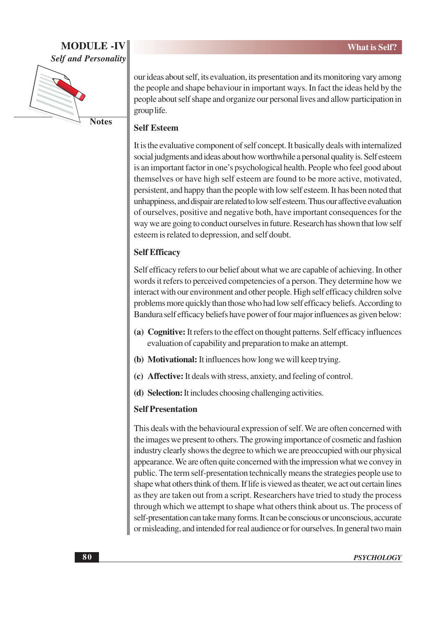### **MODULE-IV Self and Personality**



our ideas about self, its evaluation, its presentation and its monitoring vary among the people and shape behaviour in important ways. In fact the ideas held by the people about self shape and organize our personal lives and allow participation in group life.

### **Self Esteem**

It is the evaluative component of self concept. It basically deals with internalized social judgments and ideas about how worthwhile a personal quality is. Self esteem is an important factor in one's psychological health. People who feel good about themselves or have high self esteem are found to be more active, motivated, persistent, and happy than the people with low self esteem. It has been noted that unhappiness, and dispair are related to low self esteem. Thus our affective evaluation of ourselves, positive and negative both, have important consequences for the way we are going to conduct ourselves in future. Research has shown that low self esteem is related to depression, and self doubt.

### **Self Efficacy**

Self efficacy refers to our belief about what we are capable of achieving. In other words it refers to perceived competencies of a person. They determine how we interact with our environment and other people. High self efficacy children solve problems more quickly than those who had low self efficacy beliefs. According to Bandura self efficacy beliefs have power of four major influences as given below:

- (a) Cognitive: It refers to the effect on thought patterns. Self efficacy influences evaluation of capability and preparation to make an attempt.
- (b) Motivational: It influences how long we will keep trying.
- (c) Affective: It deals with stress, anxiety, and feeling of control.
- (d) Selection: It includes choosing challenging activities.

### **Self Presentation**

This deals with the behavioural expression of self. We are often concerned with the images we present to others. The growing importance of cosmetic and fashion industry clearly shows the degree to which we are preoccupied with our physical appearance. We are often quite concerned with the impression what we convey in public. The term self-presentation technically means the strategies people use to shape what others think of them. If life is viewed as theater, we act out certain lines as they are taken out from a script. Researchers have tried to study the process through which we attempt to shape what others think about us. The process of self-presentation can take many forms. It can be conscious or unconscious, accurate or misleading, and intended for real audience or for ourselves. In general two main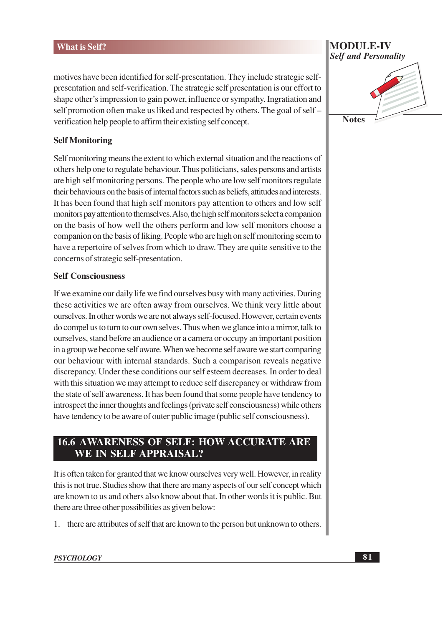motives have been identified for self-presentation. They include strategic selfpresentation and self-verification. The strategic self presentation is our effort to shape other's impression to gain power, influence or sympathy. Ingratiation and self promotion often make us liked and respected by others. The goal of self – verification help people to affirm their existing self concept.

### **Self Monitoring**

Self monitoring means the extent to which external situation and the reactions of others help one to regulate behaviour. Thus politicians, sales persons and artists are high self monitoring persons. The people who are low self monitors regulate their behaviours on the basis of internal factors such as beliefs, attitudes and interests. It has been found that high self monitors pay attention to others and low self monitors pay attention to themselves. Also, the high self monitors select a companion on the basis of how well the others perform and low self monitors choose a companion on the basis of liking. People who are high on self monitoring seem to have a repertoire of selves from which to draw. They are quite sensitive to the concerns of strategic self-presentation.

#### **Self Consciousness**

If we examine our daily life we find ourselves busy with many activities. During these activities we are often away from ourselves. We think very little about ourselves. In other words we are not always self-focused. However, certain events do compel us to turn to our own selves. Thus when we glance into a mirror, talk to ourselves, stand before an audience or a camera or occupy an important position in a group we become self aware. When we become self aware we start comparing our behaviour with internal standards. Such a comparison reveals negative discrepancy. Under these conditions our self esteem decreases. In order to deal with this situation we may attempt to reduce self discrepancy or withdraw from the state of self awareness. It has been found that some people have tendency to introspect the inner thoughts and feelings (private self consciousness) while others have tendency to be aware of outer public image (public self consciousness).

### **16.6 AWARENESS OF SELF: HOW ACCURATE ARE** WE IN SELF APPRAISAL?

It is often taken for granted that we know ourselves very well. However, in reality this is not true. Studies show that there are many aspects of our self concept which are known to us and others also know about that. In other words it is public. But there are three other possibilities as given below:

1. there are attributes of self that are known to the person but unknown to others.

## **MODULE-IV Self and Personality**

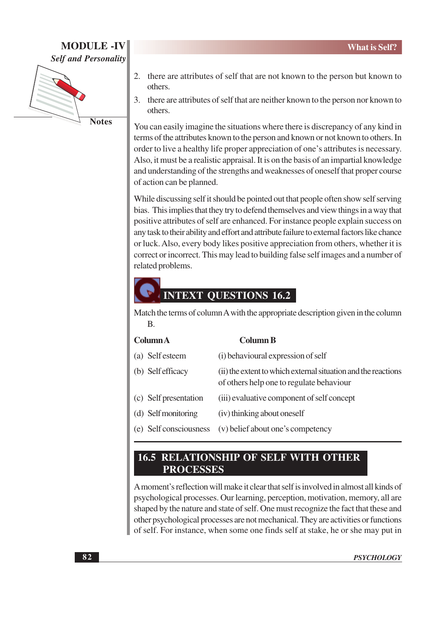### **MODULE-IV Self and Personality**



**Notes** 

- 2. there are attributes of self that are not known to the person but known to others.
- 3. there are attributes of self that are neither known to the person nor known to others.

You can easily imagine the situations where there is discrepancy of any kind in terms of the attributes known to the person and known or not known to others. In order to live a healthy life proper appreciation of one's attributes is necessary. Also, it must be a realistic appraisal. It is on the basis of an impartial knowledge and understanding of the strengths and weaknesses of oneself that proper course of action can be planned.

While discussing self it should be pointed out that people often show self serving bias. This implies that they try to defend themselves and view things in a way that positive attributes of self are enhanced. For instance people explain success on any task to their ability and effort and attribute failure to external factors like chance or luck. Also, every body likes positive appreciation from others, whether it is correct or incorrect. This may lead to building false self images and a number of related problems.

### **INTEXT QUESTIONS 16.2**

Match the terms of column A with the appropriate description given in the column  $\mathbf{B}$ 

| Column A |
|----------|
|----------|

#### **Column B**

(a) Self esteem (i) behavioural expression of self (b) Self efficacy (ii) the extent to which external situation and the reactions of others help one to regulate behaviour (c) Self presentation (iii) evaluative component of self concept (d) Self monitoring (iv) thinking about oneself (e) Self consciousness (v) belief about one's competency

### **16.5 RELATIONSHIP OF SELF WITH OTHER PROCESSES**

A moment's reflection will make it clear that self is involved in almost all kinds of psychological processes. Our learning, perception, motivation, memory, all are shaped by the nature and state of self. One must recognize the fact that these and other psychological processes are not mechanical. They are activities or functions of self. For instance, when some one finds self at stake, he or she may put in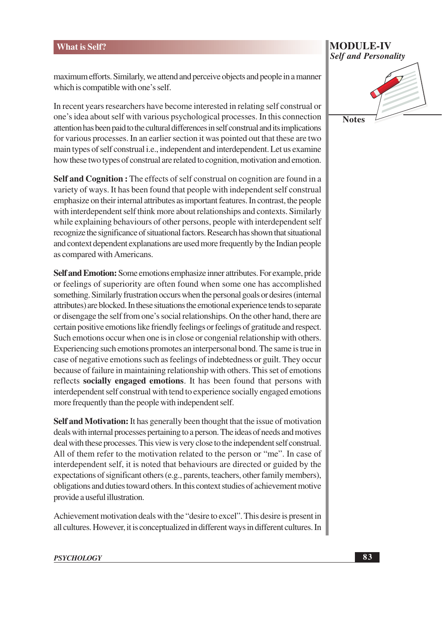maximum efforts. Similarly, we attend and perceive objects and people in a manner which is compatible with one's self.

In recent years researchers have become interested in relating self construal or one's idea about self with various psychological processes. In this connection attention has been paid to the cultural differences in self construal and its implications for various processes. In an earlier section it was pointed out that these are two main types of self construal i.e., independent and interdependent. Let us examine how these two types of construal are related to cognition, motivation and emotion.

**Self and Cognition:** The effects of self construal on cognition are found in a variety of ways. It has been found that people with independent self construal emphasize on their internal attributes as important features. In contrast, the people with interdependent self think more about relationships and contexts. Similarly while explaining behaviours of other persons, people with interdependent self recognize the significance of situational factors. Research has shown that situational and context dependent explanations are used more frequently by the Indian people as compared with Americans.

Self and Emotion: Some emotions emphasize inner attributes. For example, pride or feelings of superiority are often found when some one has accomplished something. Similarly frustration occurs when the personal goals or desires (internal attributes) are blocked. In these situations the emotional experience tends to separate or disengage the self from one's social relationships. On the other hand, there are certain positive emotions like friendly feelings or feelings of gratitude and respect. Such emotions occur when one is in close or congenial relationship with others. Experiencing such emotions promotes an interpersonal bond. The same is true in case of negative emotions such as feelings of indebtedness or guilt. They occur because of failure in maintaining relationship with others. This set of emotions reflects socially engaged emotions. It has been found that persons with interdependent self construal with tend to experience socially engaged emotions more frequently than the people with independent self.

**Self and Motivation:** It has generally been thought that the issue of motivation deals with internal processes pertaining to a person. The ideas of needs and motives deal with these processes. This view is very close to the independent self construal. All of them refer to the motivation related to the person or "me". In case of interdependent self, it is noted that behaviours are directed or guided by the expectations of significant others (e.g., parents, teachers, other family members), obligations and duties toward others. In this context studies of achievement motive provide a useful illustration.

Achievement motivation deals with the "desire to excel". This desire is present in all cultures. However, it is conceptualized in different ways in different cultures. In

**MODULE-IV Self and Personality** 

**Notes**